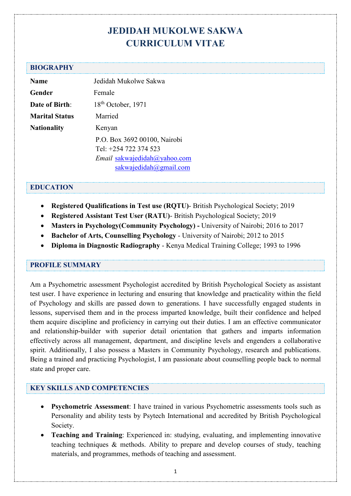# **JEDIDAH MUKOLWE SAKWA CURRICULUM VITAE**

#### **BIOGRAPHY**

| <b>Name</b>           | Jedidah Mukolwe Sakwa               |
|-----------------------|-------------------------------------|
| Gender                | Female                              |
| <b>Date of Birth:</b> | $18th$ October, 1971                |
| <b>Marital Status</b> | Married                             |
| <b>Nationality</b>    | Kenyan                              |
|                       | P.O. Box 3692 00100, Nairobi        |
|                       | Tel: +254 722 374 523               |
|                       | <i>Email</i> sakwajedidah@yahoo.com |
|                       | sakwajedidah@gmail.com              |

#### **EDUCATION**

- **Registered Qualifications in Test use (RQTU)** British Psychological Society; 2019
- **Registered Assistant Test User (RATU)** British Psychological Society; 2019
- **Masters in Psychology(Community Psychology) -** University of Nairobi; 2016 to 2017
- **Bachelor of Arts, Counselling Psychology** University of Nairobi; 2012 to 2015
- **Diploma in Diagnostic Radiography** Kenya Medical Training College; 1993 to 1996

#### **PROFILE SUMMARY**

Am a Psychometric assessment Psychologist accredited by British Psychological Society as assistant test user. I have experience in lecturing and ensuring that knowledge and practicality within the field of Psychology and skills are passed down to generations. I have successfully engaged students in lessons, supervised them and in the process imparted knowledge, built their confidence and helped them acquire discipline and proficiency in carrying out their duties. I am an effective communicator and relationship-builder with superior detail orientation that gathers and imparts information effectively across all management, department, and discipline levels and engenders a collaborative spirit. Additionally, I also possess a Masters in Community Psychology, research and publications. Being a trained and practicing Psychologist, I am passionate about counselling people back to normal state and proper care.

## **KEY SKILLS AND COMPETENCIES**

- **Psychometric Assessment**: I have trained in various Psychometric assessments tools such as Personality and ability tests by Psytech International and accredited by British Psychological Society.
- **Teaching and Training**: Experienced in: studying, evaluating, and implementing innovative teaching techniques & methods. Ability to prepare and develop courses of study, teaching materials, and programmes, methods of teaching and assessment.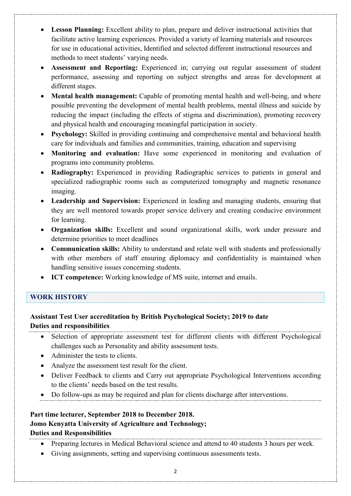- **Lesson Planning:** Excellent ability to plan, prepare and deliver instructional activities that facilitate active learning experiences. Provided a variety of learning materials and resources for use in educational activities, Identified and selected different instructional resources and methods to meet students' varying needs.
- **Assessment and Reporting:** Experienced in; carrying out regular assessment of student performance, assessing and reporting on subject strengths and areas for development at different stages.
- **Mental health management:** Capable of promoting mental health and well-being, and where possible preventing the development of mental health problems, mental illness and suicide by reducing the impact (including the effects of stigma and discrimination), promoting recovery and physical health and encouraging meaningful participation in society.
- **Psychology:** Skilled in providing continuing and comprehensive mental and behavioral health care for individuals and families and communities, training, education and supervising
- **Monitoring and evaluation:** Have some experienced in monitoring and evaluation of programs into community problems.
- **Radiography:** Experienced in providing Radiographic services to patients in general and specialized radiographic rooms such as computerized tomography and magnetic resonance imaging.
- **Leadership and Supervision:** Experienced in leading and managing students, ensuring that they are well mentored towards proper service delivery and creating conducive environment for learning.
- **Organization skills:** Excellent and sound organizational skills, work under pressure and determine priorities to meet deadlines
- **Communication skills:** Ability to understand and relate well with students and professionally with other members of staff ensuring diplomacy and confidentiality is maintained when handling sensitive issues concerning students.
- **ICT competence:** Working knowledge of MS suite, internet and emails.

# **WORK HISTORY**

# **Assistant Test User accreditation by British Psychological Society; 2019 to date Duties and responsibilities**

- Selection of appropriate assessment test for different clients with different Psychological challenges such as Personality and ability assessment tests.
- Administer the tests to clients.
- Analyze the assessment test result for the client.
- Deliver Feedback to clients and Carry out appropriate Psychological Interventions according to the clients' needs based on the test results.
- Do follow-ups as may be required and plan for clients discharge after interventions.

#### **Part time lecturer, September 2018 to December 2018. Jomo Kenyatta University of Agriculture and Technology;**

## **Duties and Responsibilities**

- Preparing lectures in Medical Behavioral science and attend to 40 students 3 hours per week.
- Giving assignments, setting and supervising continuous assessments tests.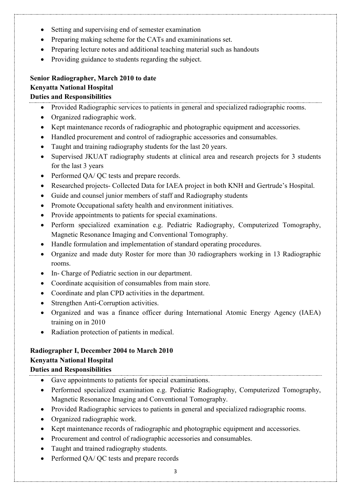- Setting and supervising end of semester examination
- Preparing making scheme for the CATs and examininations set.
- Preparing lecture notes and additional teaching material such as handouts
- Providing guidance to students regarding the subject.

## **Senior Radiographer, March 2010 to date Kenyatta National Hospital Duties and Responsibilities**

- Provided Radiographic services to patients in general and specialized radiographic rooms.
- Organized radiographic work.
- Kept maintenance records of radiographic and photographic equipment and accessories.
- Handled procurement and control of radiographic accessories and consumables.
- Taught and training radiography students for the last 20 years.
- Supervised JKUAT radiography students at clinical area and research projects for 3 students for the last 3 years
- Performed QA/ QC tests and prepare records.
- Researched projects- Collected Data for IAEA project in both KNH and Gertrude's Hospital.
- Guide and counsel junior members of staff and Radiography students
- Promote Occupational safety health and environment initiatives.
- Provide appointments to patients for special examinations.
- Perform specialized examination e.g. Pediatric Radiography, Computerized Tomography, Magnetic Resonance Imaging and Conventional Tomography.
- Handle formulation and implementation of standard operating procedures.
- Organize and made duty Roster for more than 30 radiographers working in 13 Radiographic rooms.
- In- Charge of Pediatric section in our department.
- Coordinate acquisition of consumables from main store.
- Coordinate and plan CPD activities in the department.
- Strengthen Anti-Corruption activities.
- Organized and was a finance officer during International Atomic Energy Agency (IAEA) training on in 2010
- Radiation protection of patients in medical.

#### **Radiographer I, December 2004 to March 2010 Kenyatta National Hospital Duties and Responsibilities**

- Gave appointments to patients for special examinations.
- Performed specialized examination e.g. Pediatric Radiography, Computerized Tomography, Magnetic Resonance Imaging and Conventional Tomography.
- Provided Radiographic services to patients in general and specialized radiographic rooms.
- Organized radiographic work.
- Kept maintenance records of radiographic and photographic equipment and accessories.
- Procurement and control of radiographic accessories and consumables.
- Taught and trained radiography students.
- Performed QA/ QC tests and prepare records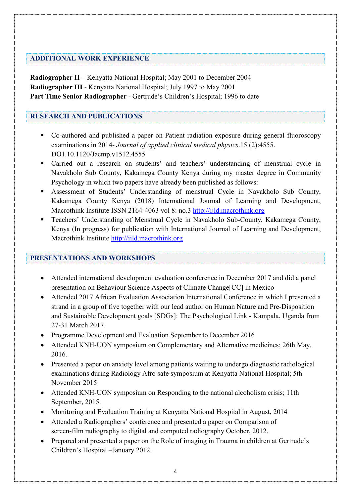## **ADDITIONAL WORK EXPERIENCE**

**Radiographer II** – Kenyatta National Hospital; May 2001 to December 2004 **Radiographer III** - Kenyatta National Hospital; July 1997 to May 2001 **Part Time Senior Radiographer** - Gertrude's Children's Hospital; 1996 to date

## **RESEARCH AND PUBLICATIONS**

- Co-authored and published a paper on Patient radiation exposure during general fluoroscopy examinations in 2014- *Journal of applied clinical medical physics*.15 (2):4555. DO1.10.1120/Jacmp.v1512.4555
- Carried out a research on students' and teachers' understanding of menstrual cycle in Navakholo Sub County, Kakamega County Kenya during my master degree in Community Psychology in which two papers have already been published as follows:
- Assessment of Students' Understanding of menstrual Cycle in Navakholo Sub County, Kakamega County Kenya (2018) International Journal of Learning and Development, Macrothink Institute ISSN 2164-4063 vol 8: no.3 http://ijld.macrothink.org
- Teachers' Understanding of Menstrual Cycle in Navakholo Sub-County, Kakamega County, Kenya (In progress) for publication with International Journal of Learning and Development, Macrothink Institute [http://ijld.macrothink.org](http://ijld.macrothink.org/)

## **PRESENTATIONS AND WORKSHOPS**

- Attended international development evaluation conference in December 2017 and did a panel presentation on Behaviour Science Aspects of Climate Change[CC] in Mexico
- Attended 2017 African Evaluation Association International Conference in which I presented a strand in a group of five together with our lead author on Human Nature and Pre-Disposition and Sustainable Development goals [SDGs]: The Psychological Link - Kampala, Uganda from 27-31 March 2017.
- Programme Development and Evaluation September to December 2016
- Attended KNH-UON symposium on Complementary and Alternative medicines; 26th May, 2016.
- Presented a paper on anxiety level among patients waiting to undergo diagnostic radiological examinations during Radiology Afro safe symposium at Kenyatta National Hospital; 5th November 2015
- Attended KNH-UON symposium on Responding to the national alcoholism crisis; 11th September, 2015.
- Monitoring and Evaluation Training at Kenyatta National Hospital in August, 2014
- Attended a Radiographers' conference and presented a paper on Comparison of screen-film radiography to digital and computed radiography October, 2012.
- Prepared and presented a paper on the Role of imaging in Trauma in children at Gertrude's Children's Hospital –January 2012.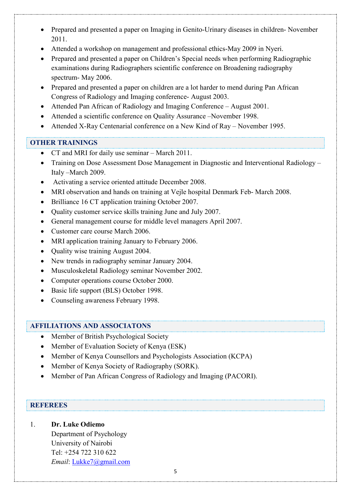- Prepared and presented a paper on Imaging in Genito-Urinary diseases in children- November 2011.
- Attended a workshop on management and professional ethics-May 2009 in Nyeri.
- Prepared and presented a paper on Children's Special needs when performing Radiographic examinations during Radiographers scientific conference on Broadening radiography spectrum- May 2006.
- Prepared and presented a paper on children are a lot harder to mend during Pan African Congress of Radiology and Imaging conference- August 2003.
- Attended Pan African of Radiology and Imaging Conference August 2001.
- Attended a scientific conference on Quality Assurance –November 1998.
- Attended X-Ray Centenarial conference on a New Kind of Ray November 1995.

#### **OTHER TRAININGS**

- CT and MRI for daily use seminar March 2011.
- Training on Dose Assessment Dose Management in Diagnostic and Interventional Radiology Italy –March 2009.
- Activating a service oriented attitude December 2008.
- MRI observation and hands on training at Vejle hospital Denmark Feb- March 2008.
- Brilliance 16 CT application training October 2007.
- Quality customer service skills training June and July 2007.
- General management course for middle level managers April 2007.
- Customer care course March 2006.
- MRI application training January to February 2006.
- Quality wise training August 2004.
- New trends in radiography seminar January 2004.
- Musculoskeletal Radiology seminar November 2002.
- Computer operations course October 2000.
- Basic life support (BLS) October 1998.
- Counseling awareness February 1998.

#### **AFFILIATIONS AND ASSOCIATONS**

- Member of British Psychological Society
- Member of Evaluation Society of Kenya (ESK)
- Member of Kenya Counsellors and Psychologists Association (KCPA)
- Member of Kenya Society of Radiography (SORK).
- Member of Pan African Congress of Radiology and Imaging (PACORI).

## **REFEREES**

1. **Dr. Luke Odiemo**

Department of Psychology University of Nairobi Tel: +254 722 310 622 *Email*: [Lukke7@gmail.com](mailto:Lukke7@gmail.com)